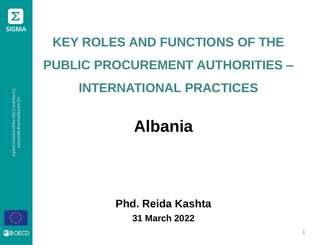

# **KEY ROLES AND FUNCTIONS OF THE PUBLIC PROCUREMENT AUTHORITIES – INTERNATIONAL PRACTICES**

#### **Albania**

**Phd. Reida Kashta 31 March 2022**

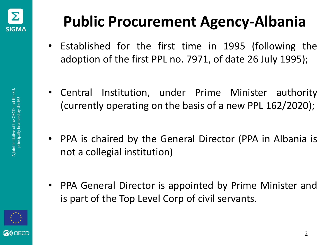

#### **Public Procurement Agency-Albania**

- Established for the first time in 1995 (following the adoption of the first PPL no. 7971, of date 26 July 1995);
- Central Institution, under Prime Minister authority (currently operating on the basis of a new PPL 162/2020);
- PPA is chaired by the General Director (PPA in Albania is not a collegial institution)
- PPA General Director is appointed by Prime Minister and is part of the Top Level Corp of civil servants.

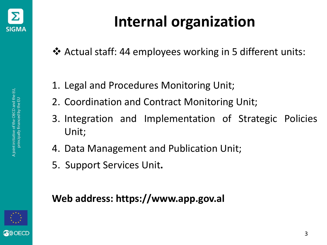

❖ Actual staff: 44 employees working in 5 different units:

- 1. Legal and Procedures Monitoring Unit;
- 2. Coordination and Contract Monitoring Unit;
- 3. Integration and Implementation of Strategic Policies Unit;
- 4. Data Management and Publication Unit;
- 5. Support Services Unit**.**

#### **Web address: https://www.app.gov.al**

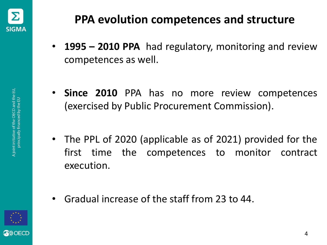

- **1995 – 2010 PPA** had regulatory, monitoring and review competences as well.
- **Since 2010** PPA has no more review competences (exercised by Public Procurement Commission).
- The PPL of 2020 (applicable as of 2021) provided for the first time the competences to monitor contract execution.
- Gradual increase of the staff from 23 to 44.

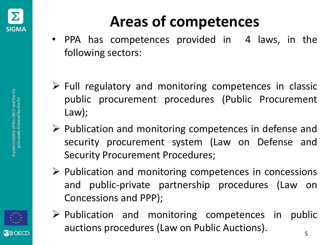

## **Areas of competences**

- PPA has competences provided in 4 laws, in the following sectors:
- $\triangleright$  Full regulatory and monitoring competences in classic public procurement procedures (Public Procurement Law);
- ➢ Publication and monitoring competences in defense and security procurement system (Law on Defense and Security Procurement Procedures;
- ➢ Publication and monitoring competences in concessions and public-private partnership procedures (Law on Concessions and PPP);
- ➢ Publication and monitoring competences in public auctions procedures (Law on Public Auctions).

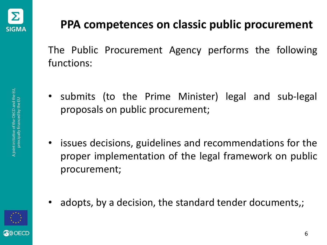

#### **PPA competences on classic public procurement**

The Public Procurement Agency performs the following functions:

- submits (to the Prime Minister) legal and sub-legal proposals on public procurement;
- issues decisions, guidelines and recommendations for the proper implementation of the legal framework on public procurement;
- adopts, by a decision, the standard tender documents,;

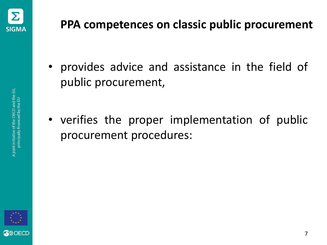

- provides advice and assistance in the field of public procurement,
- verifies the proper implementation of public procurement procedures:

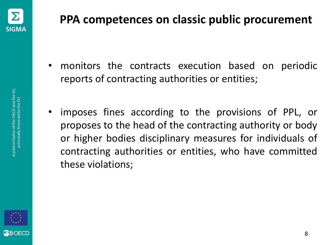

- monitors the contracts execution based on periodic reports of contracting authorities or entities;
- imposes fines according to the provisions of PPL, or proposes to the head of the contracting authority or body or higher bodies disciplinary measures for individuals of contracting authorities or entities, who have committed these violations;

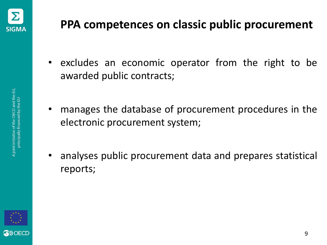

- excludes an economic operator from the right to be awarded public contracts;
- manages the database of procurement procedures in the electronic procurement system;
- analyses public procurement data and prepares statistical reports;

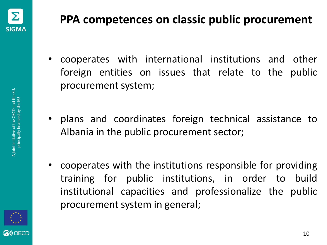

- cooperates with international institutions and other foreign entities on issues that relate to the public procurement system;
- plans and coordinates foreign technical assistance to Albania in the public procurement sector;
- cooperates with the institutions responsible for providing training for public institutions, in order to build institutional capacities and professionalize the public procurement system in general;

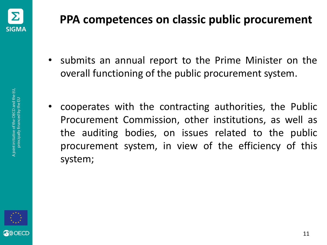

- submits an annual report to the Prime Minister on the overall functioning of the public procurement system.
- cooperates with the contracting authorities, the Public Procurement Commission, other institutions, as well as the auditing bodies, on issues related to the public procurement system, in view of the efficiency of this system;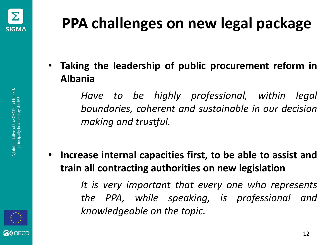

• **Taking the leadership of public procurement reform in Albania**

> *Have to be highly professional, within legal boundaries, coherent and sustainable in our decision making and trustful.*

• **Increase internal capacities first, to be able to assist and train all contracting authorities on new legislation**

> *It is very important that every one who represents the PPA, while speaking, is professional and knowledgeable on the topic.*

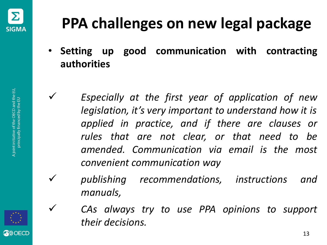

## **PPA challenges on new legal package**

- **Setting up good communication with contracting authorities**
- ✓ *Especially at the first year of application of new legislation, it's very important to understand how it is applied in practice, and if there are clauses or rules that are not clear, or that need to be amended. Communication via email is the most convenient communication way*
- ✓ *publishing recommendations, instructions and manuals,*
- ✓ *CAs always try to use PPA opinions to support their decisions.*



OFCD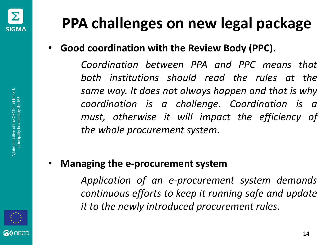

• **Good coordination with the Review Body (PPC).**

*Coordination between PPA and PPC means that both institutions should read the rules at the same way. It does not always happen and that is why coordination is a challenge. Coordination is a must, otherwise it will impact the efficiency of the whole procurement system.*

• **Managing the e-procurement system**

*Application of an e-procurement system demands continuous efforts to keep it running safe and update it to the newly introduced procurement rules.*